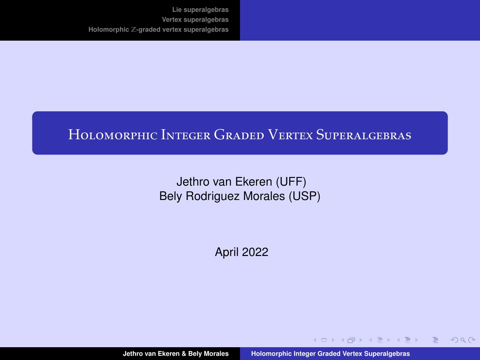# <span id="page-0-0"></span>Holomorphic Integer Graded Vertex Superalgebras

Jethro van Ekeren (UFF) Bely Rodriguez Morales (USP)

April 2022

イロメ イ母メ イヨメ イヨメー

 $2990$ 

目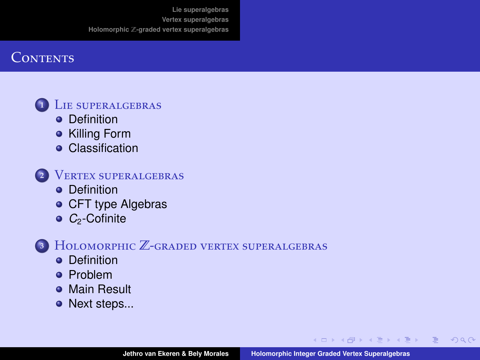# **CONTENTS**



**<sup>1</sup>** L[ie superalgebras](#page-2-0)

- **o** [Definition](#page-2-0)
- [Killing Form](#page-3-0)
- **•** [Classification](#page-9-0)



**<sup>2</sup>** V[ertex superalgebras](#page-13-0)

- **O** [Definition](#page-13-0)
- **[CFT type Algebras](#page-14-0)**
- $\bullet$  C<sub>2</sub>[-Cofinite](#page-17-0)

**<sup>3</sup>** Holomorphic Z-[graded vertex superalgebras](#page-19-0)

- **o** [Definition](#page-19-0)
- [Problem](#page-21-0)
- **[Main Result](#page-24-0)**
- [Next steps...](#page-31-0)

**∢ロ ▶ ∢母 ▶ ∢ ヨ ▶ ∢ ヨ ▶** .

目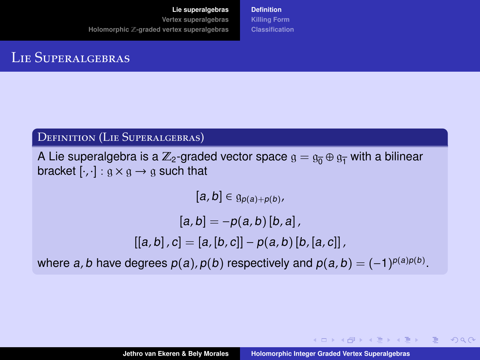**[Lie superalgebras](#page-2-0)**

<span id="page-2-0"></span>**[Vertex superalgebras](#page-13-0) Holomorphic** Z**[-graded vertex superalgebras](#page-19-0)** **[Definition](#page-2-0) [Killing Form](#page-3-0) [Classification](#page-9-0)**

# LIE SUPERALGEBRAS

### Definition (Lie Superalgebras)

A Lie superalgebra is a  $\mathbb{Z}_2$ -graded vector space  $g = g_{\overline{n}} \oplus g_{\overline{n}}$  with a bilinear bracket  $[\cdot, \cdot] : g \times g \rightarrow g$  such that

 $[a, b] \in \mathfrak{g}_{p(a)+p(b)}$ 

 $[a, b] = -p(a, b)$ [b, a],

$$
[[a,b],c] = [a,[b,c]] - p(a,b)[b,[a,c]]
$$

where a, b have degrees  $p(a)$ ,  $p(b)$  respectively and  $p(a,b) = (-1)^{p(a)p(b)}$ .

**≮ロト ⊀何ト ⊀ ヨト ⊀ ヨト** …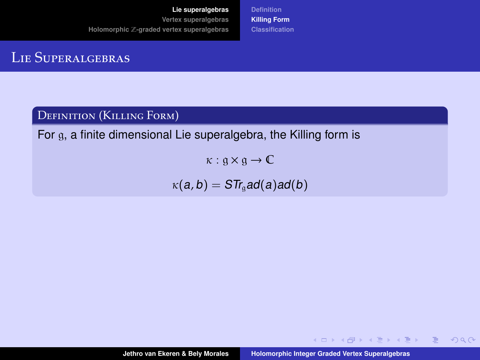**[Definition](#page-2-0) [Killing Form](#page-5-0) [Classification](#page-9-0)**

# <span id="page-3-0"></span>Lie Superalgebras

### Definition (Killing Form)

For g, a finite dimensional Lie superalgebra, the Killing form is

 $\kappa : \mathfrak{a} \times \mathfrak{a} \to \mathbb{C}$ 

 $\kappa(a, b) = STr_a$ ad(a)ad(b)

イロン イ母ン イヨン イヨン・ヨ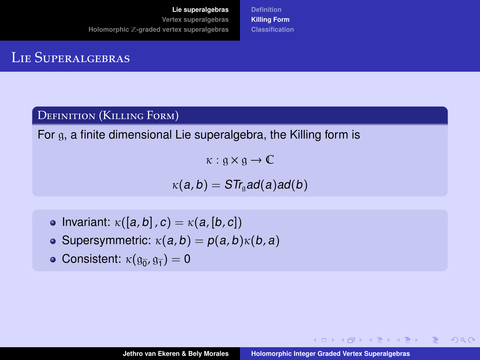**[Definition](#page-2-0) [Killing Form](#page-5-0) [Classification](#page-9-0)**

# Lie Superalgebras

### Definition (Killing Form)

For g, a finite dimensional Lie superalgebra, the Killing form is

 $\kappa : \mathfrak{a} \times \mathfrak{a} \to \mathbb{C}$ 

 $\kappa(a, b) = STr_a$  ad(a) ad(b)

- Invariant:  $\kappa([a, b], c) = \kappa(a, [b, c])$
- Supersymmetric:  $\kappa(a, b) = p(a, b)\kappa(b, a)$
- Consistent:  $\kappa(\mathfrak{g}_{\overline{0}}, \mathfrak{g}_{\overline{1}}) = 0$

キロメス 何 メ ミ メ ミ メ ミ メ コメ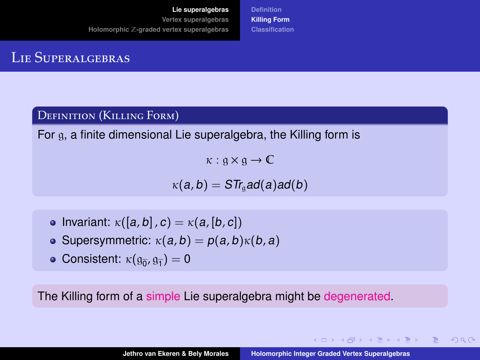**[Definition](#page-2-0) [Killing Form](#page-3-0) [Classification](#page-9-0)**

# <span id="page-5-0"></span>Lie Superalgebras

### Definition (Killing Form)

For g, a finite dimensional Lie superalgebra, the Killing form is

 $\kappa : \mathfrak{a} \times \mathfrak{a} \to \mathbb{C}$ 

 $\kappa(a, b) = STr_a$  ad(a) ad(b)

- Invariant:  $\kappa([a, b], c) = \kappa(a, [b, c])$
- Supersymmetric:  $\kappa(a, b) = p(a, b)\kappa(b, a)$
- Consistent:  $\kappa(\mathfrak{g}_{\overline{0}}, \mathfrak{g}_{\overline{1}}) = 0$

The Killing form of a simple Lie superalgebra might be degenerated.

キロメス 何 メ ミ メ ミ メ ミ メ コメ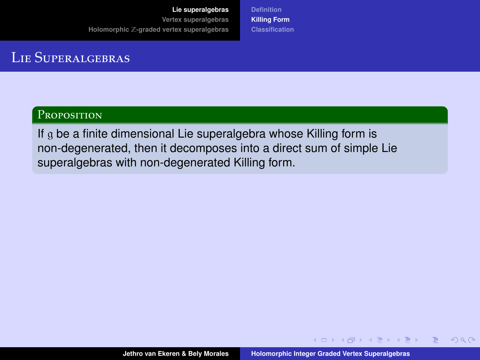**[Definition](#page-2-0) [Killing Form](#page-3-0) [Classification](#page-9-0)**

# Lie Superalgebras

### Proposition

If g be a finite dimensional Lie superalgebra whose Killing form is non-degenerated, then it decomposes into a direct sum of simple Lie superalgebras with non-degenerated Killing form.

**←ロ ▶ ←何 ▶ ← ヨ ▶ ← ヨ ▶** 

 $QQ$ 

目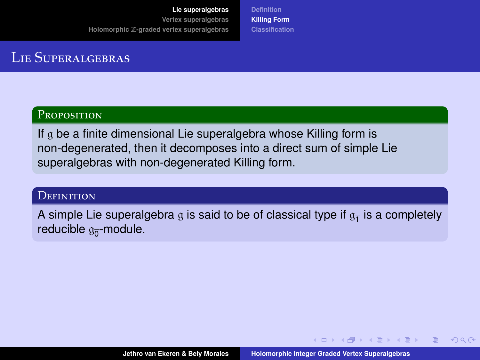**[Definition](#page-2-0) [Killing Form](#page-3-0) [Classification](#page-9-0)**

# Lie Superalgebras

### Proposition

If g be a finite dimensional Lie superalgebra whose Killing form is non-degenerated, then it decomposes into a direct sum of simple Lie superalgebras with non-degenerated Killing form.

#### **DEFINITION**

A simple Lie superalgebra  $\mathfrak g$  is said to be of classical type if  $\mathfrak g_{\overline{1}}$  is a completely reducible  $\mathfrak{g}_{\overline{0}}$ -module.

**←ロ ▶ ←何 ▶ ← ヨ ▶ ← ヨ ▶**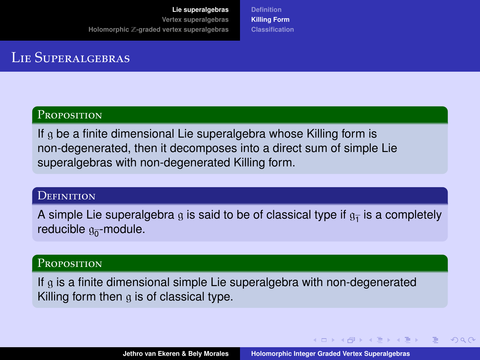**[Definition](#page-2-0) [Killing Form](#page-3-0) [Classification](#page-9-0)**

# Lie Superalgebras

### **PROPOSITION**

If g be a finite dimensional Lie superalgebra whose Killing form is non-degenerated, then it decomposes into a direct sum of simple Lie superalgebras with non-degenerated Killing form.

#### **DEFINITION**

A simple Lie superalgebra  $\mathfrak g$  is said to be of classical type if  $\mathfrak g_{\overline{1}}$  is a completely reducible  $\mathfrak{g}_{\overline{0}}$ -module.

#### Proposition

If g is a finite dimensional simple Lie superalgebra with non-degenerated Killing form then  $\alpha$  is of classical type.

**←ロ ▶ ←何 ▶ ← ヨ ▶ ← ヨ ▶**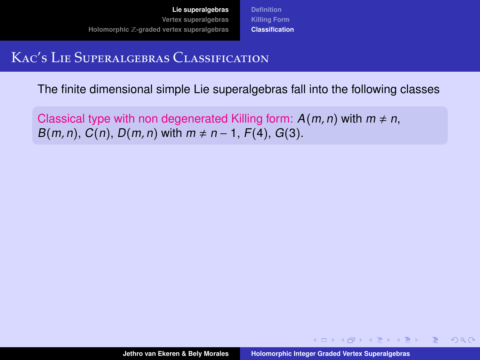**[Definition](#page-2-0) [Killing Form](#page-3-0) [Classification](#page-12-0)**

# <span id="page-9-0"></span>Kac's Lie Superalgebras Classification

The finite dimensional simple Lie superalgebras fall into the following classes

Classical type with non degenerated Killing form:  $A(m, n)$  with  $m \neq n$ ,  $B(m, n)$ ,  $C(n)$ ,  $D(m, n)$  with  $m \neq n - 1$ ,  $F(4)$ ,  $G(3)$ .

**←ロ ▶ ←何 ▶ ← ヨ ▶ ← ヨ ▶** 

 $\Omega$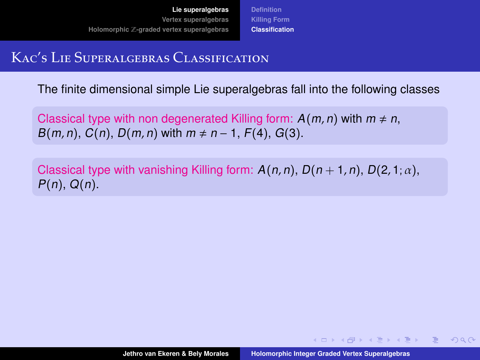**[Definition](#page-2-0) [Killing Form](#page-3-0) [Classification](#page-12-0)**

# Kac's Lie Superalgebras Classification

The finite dimensional simple Lie superalgebras fall into the following classes

Classical type with non degenerated Killing form:  $A(m, n)$  with  $m \neq n$ ,  $B(m, n)$ ,  $C(n)$ ,  $D(m, n)$  with  $m \neq n - 1$ ,  $F(4)$ ,  $G(3)$ .

Classical type with vanishing Killing form:  $A(n, n)$ ,  $D(n + 1, n)$ ,  $D(2, 1; \alpha)$ ,  $P(n)$ ,  $Q(n)$ .

**≮ロト (何) (日) (日)**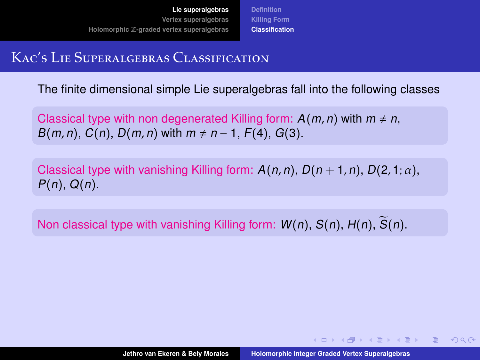**[Definition](#page-2-0) [Killing Form](#page-3-0) [Classification](#page-12-0)**

# Kac's Lie Superalgebras Classification

The finite dimensional simple Lie superalgebras fall into the following classes

Classical type with non degenerated Killing form:  $A(m, n)$  with  $m \neq n$ ,  $B(m, n)$ ,  $C(n)$ ,  $D(m, n)$  with  $m \neq n - 1$ ,  $F(4)$ ,  $G(3)$ .

Classical type with vanishing Killing form:  $A(n, n)$ ,  $D(n + 1, n)$ ,  $D(2, 1; \alpha)$ ,  $P(n)$ ,  $Q(n)$ .

Non classical type with vanishing Killing form:  $W(n)$ ,  $S(n)$ ,  $H(n)$ ,  $\tilde{S}(n)$ .

∢ ロ ▶ ( 何 ) ( ミ ) ( ミ ) ( ニ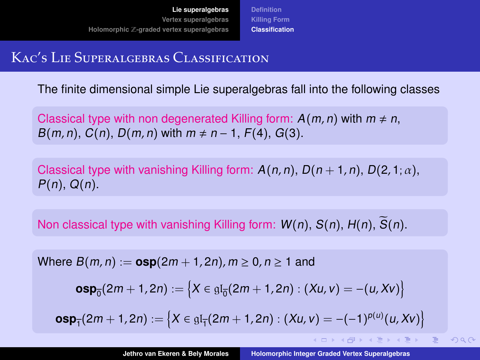**[Definition](#page-2-0) [Killing Form](#page-3-0) [Classification](#page-9-0)**

# <span id="page-12-0"></span>Kac's Lie Superalgebras Classification

The finite dimensional simple Lie superalgebras fall into the following classes

Classical type with non degenerated Killing form:  $A(m, n)$  with  $m \neq n$ ,  $B(m, n)$ ,  $C(n)$ ,  $D(m, n)$  with  $m \neq n - 1$ ,  $F(4)$ ,  $G(3)$ .

Classical type with vanishing Killing form:  $A(n, n)$ ,  $D(n + 1, n)$ ,  $D(2, 1; \alpha)$ ,  $P(n)$ ,  $Q(n)$ .

Non classical type with vanishing Killing form:  $W(n)$ ,  $S(n)$ ,  $H(n)$ ,  $\overline{S}(n)$ .

Where  $B(m, n) := \exp(2m + 1, 2n)$ ,  $m \ge 0$ ,  $n \ge 1$  and

$$
\text{osp}_{\overline{0}}(2m+1,2n) := \left\{ X \in \mathfrak{gl}_{\overline{0}}(2m+1,2n) : (Xu,v) = -(u,Xv) \right\}
$$

 $\mathsf{osp}_{\overline{1}}(2m+1,2n) := \big\{ X \in \mathfrak{gl}_{\overline{1}}(2m+1,2n) : (X\omega,\nu) = -(-1)^{p(\omega)}(u,X\nu) \big\}$ 

**≮ロト ⊀何ト ⊀ ヨト ⊀ ヨト**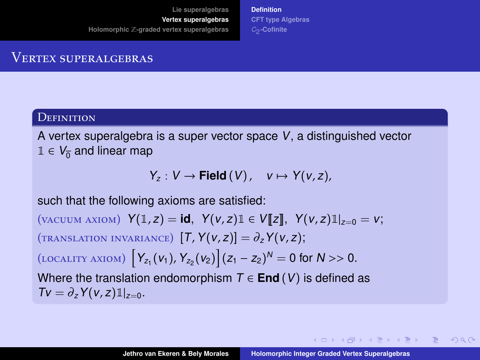**[Definition](#page-13-0) [CFT type Algebras](#page-14-0)** C2 **[-Cofinite](#page-17-0)**

### <span id="page-13-0"></span>VERTEX SUPERALGEBRAS

#### **DEFINITION**

A vertex superalgebra is a super vector space V, a distinguished vector  $1 \in V_{\overline{0}}$  and linear map

$$
Y_z: V \to \text{Field}(V), \quad v \mapsto Y(v,z),
$$

such that the following axioms are satisfied:

(vacuum axiom)  $Y(1, z) = id$ ,  $Y(v, z)1 \in V[[z]]$ ,  $Y(v, z)1|_{z=0} = v$ ;  $(TRANSLATION INVARIANCE)$   $[T, Y(v, z)] = \partial_z Y(v, z);$ (LOCALITY AXIOM)  $\left[ Y_{z_1}(v_1), Y_{z_2}(v_2) \right] (z_1 - z_2)^N = 0$  for  $N >> 0$ . Where the translation endomorphism  $T \in End(V)$  is defined as  $T v = \partial_z Y(v, z) \mathbb{1}_{z=0}$ .

∢ ロ ▶ ( 何 ) 《 ヨ ) 《 ヨ ) …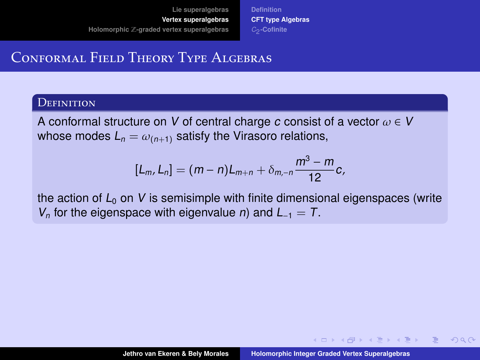**[Definition](#page-13-0) [CFT type Algebras](#page-15-0)** C2 **[-Cofinite](#page-17-0)**

## <span id="page-14-0"></span>Conformal Field Theory Type Algebras

#### **DEFINITION**

A conformal structure on V of central charge c consist of a vector  $\omega \in V$ whose modes  $L_n = \omega_{(n+1)}$  satisfy the Virasoro relations,

$$
[L_m, L_n] = (m-n)L_{m+n} + \delta_{m,-n} \frac{m^3 - m}{12}c,
$$

the action of  $L_0$  on V is semisimple with finite dimensional eigenspaces (write  $V_n$  for the eigenspace with eigenvalue *n*) and  $L_{-1} = T$ .

**←ロ ▶ ←何 ▶ ← ヨ ▶ ← ヨ ▶**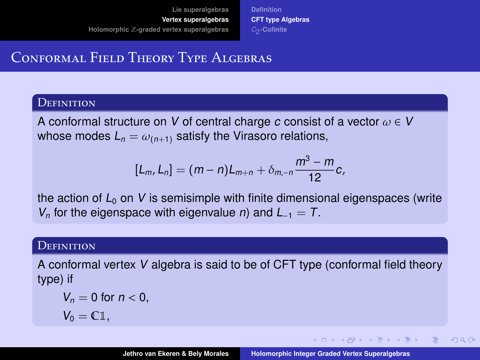**[Definition](#page-13-0) [CFT type Algebras](#page-14-0)** C2 **[-Cofinite](#page-17-0)**

# <span id="page-15-0"></span>Conformal Field Theory Type Algebras

#### **DEFINITION**

A conformal structure on V of central charge c consist of a vector  $\omega \in V$ whose modes  $L_n = \omega_{(n+1)}$  satisfy the Virasoro relations,

$$
[L_m, L_n] = (m-n)L_{m+n} + \delta_{m,-n} \frac{m^3 - m}{12}c,
$$

the action of  $L_0$  on V is semisimple with finite dimensional eigenspaces (write  $V_n$  for the eigenspace with eigenvalue *n*) and  $L_{-1} = T$ .

### **DEFINITION**

A conformal vertex V algebra is said to be of CFT type (conformal field theory type) if

$$
V_n = 0 \text{ for } n < 0,
$$
\n
$$
V_0 = \mathbb{C} \mathbb{1}.
$$

**∢ロ ▶ ∢母 ▶ ∢ ヨ ▶ ∢ ヨ ▶** .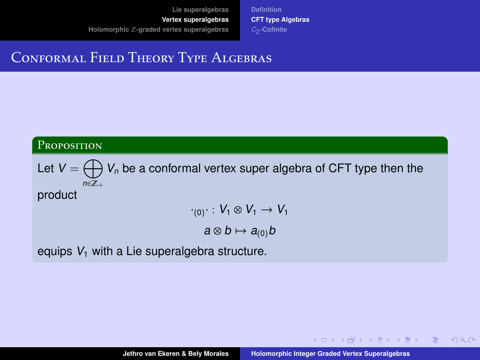**[Definition](#page-13-0) [CFT type Algebras](#page-14-0)** C2 **[-Cofinite](#page-17-0)**

## Conformal Field Theory Type Algebras

### PROPOSITION

Let  $\mathsf{V}=\bigoplus \mathsf{V}_n$  be a conformal vertex super algebra of CFT type then the  $n \in \mathbb{Z}_+$ product

$$
\cdot_{(0)}\cdot:V_1\otimes V_1\to V_1
$$

 $a \otimes b \mapsto a_{(0)}b$ 

equips  $V_1$  with a Lie superalgebra structure.

**≮ロト ⊀何ト ⊀ ヨト ⊀ ヨト** …

目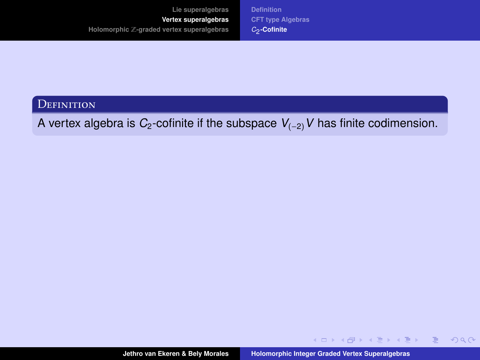**[Definition](#page-13-0) [CFT type Algebras](#page-14-0)** C2 **[-Cofinite](#page-18-0)**

<span id="page-17-0"></span>**DEFINITION** 

A vertex algebra is  $C_2$ -cofinite if the subspace  $V_{(-2)}V$  has finite codimension.

 $\mathcal{A} \subseteq \mathcal{A} \times \{ \bigoplus \lambda \text{ and } \lambda \in \mathcal{B} \} \text{ and } \mathcal{B} \times \{ \bigoplus \lambda \text{ and } \lambda \in \mathcal{B} \}.$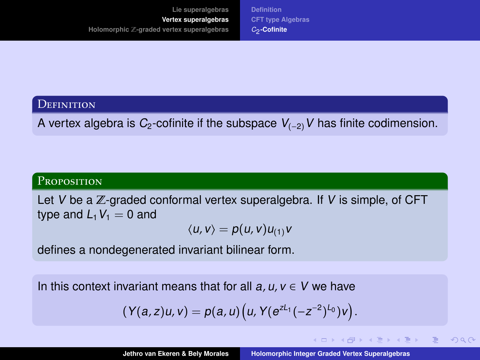**[Definition](#page-13-0) [CFT type Algebras](#page-14-0)** C2 **[-Cofinite](#page-17-0)**

### <span id="page-18-0"></span>**DEFINITION**

A vertex algebra is  $C_2$ -cofinite if the subspace  $V_{(-2)}V$  has finite codimension.

### **PROPOSITION**

Let V be a  $\mathbb Z$ -graded conformal vertex superalgebra. If V is simple, of CFT type and  $L_1V_1 = 0$  and

$$
\langle u, v \rangle = p(u, v) u_{(1)} v
$$

defines a nondegenerated invariant bilinear form.

In this context invariant means that for all  $a, u, v \in V$  we have

$$
(Y(a,z)u,v)=p(a,u)\big(u,Y(e^{zL_1}(-z^{-2})^{L_0})v\big).
$$

イロト イ何 ト イヨ ト イヨ トー

 $QQQ$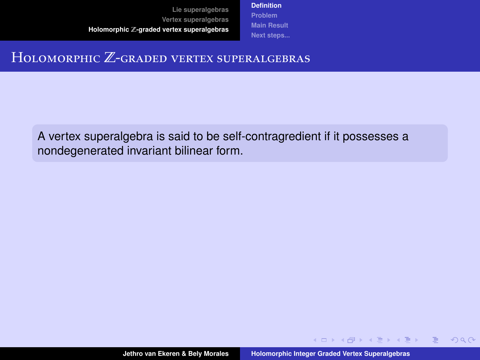**[Definition](#page-20-0) [Problem](#page-21-0) [Main Result](#page-24-0) [Next steps...](#page-31-0)**

### <span id="page-19-0"></span>HOLOMORPHIC Z-GRADED VERTEX SUPERALGEBRAS

A vertex superalgebra is said to be self-contragredient if it possesses a nondegenerated invariant bilinear form.

**≮ロト (何) (日) (日)** 

 $QQ$ 

目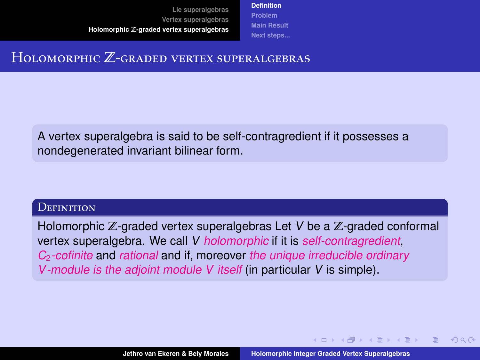**[Definition](#page-19-0) [Problem](#page-21-0) [Main Result](#page-24-0) [Next steps...](#page-31-0)**

### <span id="page-20-0"></span>HOLOMORPHIC Z-GRADED VERTEX SUPERALGEBRAS

A vertex superalgebra is said to be self-contragredient if it possesses a nondegenerated invariant bilinear form.

#### **DEFINITION**

Holomorphic  $\mathbb{Z}$ -graded vertex superalgebras Let V be a  $\mathbb{Z}$ -graded conformal vertex superalgebra. We call V holomorphic if it is self-contragredient,  $C<sub>2</sub>$ -cofinite and rational and if, moreover the unique irreducible ordinary V-module is the adjoint module V itself (in particular V is simple).

**∢ロ ▶ ∢母 ▶ ∢ ヨ ▶ ∢ ヨ ▶** .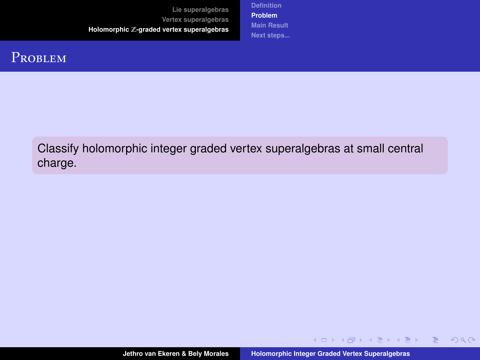**[Definition](#page-19-0) [Problem](#page-23-0) [Main Result](#page-24-0) [Next steps...](#page-31-0)**

## <span id="page-21-0"></span>**PROBLEM**

Classify holomorphic integer graded vertex superalgebras at small central charge.

イロト イ押 トイヨ トイヨ トー

 $\equiv$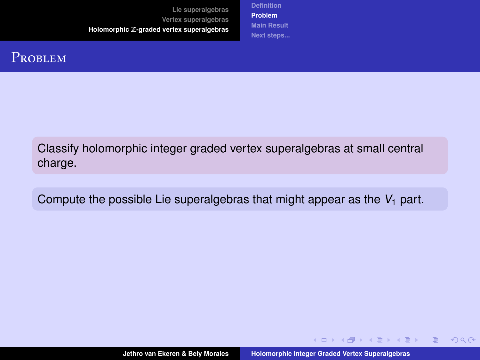**[Definition](#page-19-0) [Problem](#page-23-0) [Main Result](#page-24-0) [Next steps...](#page-31-0)**

## **PROBLEM**

Classify holomorphic integer graded vertex superalgebras at small central charge.

Compute the possible Lie superalgebras that might appear as the  $V_1$  part.

**≮ロト ⊀何ト ⊀ ヨト ⊀ ヨト** …

 $QQ$ 

目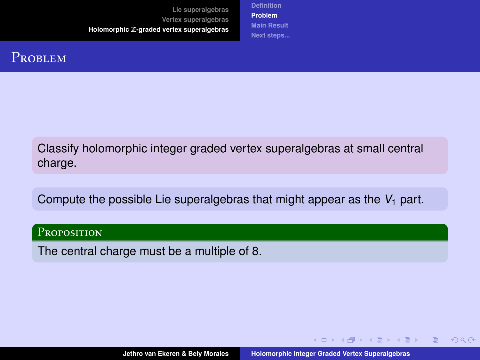**[Definition](#page-19-0) [Problem](#page-21-0) [Main Result](#page-24-0) [Next steps...](#page-31-0)**

## <span id="page-23-0"></span>**PROBLEM**

Classify holomorphic integer graded vertex superalgebras at small central charge.

Compute the possible Lie superalgebras that might appear as the  $V_1$  part.

#### PROPOSITION

The central charge must be a multiple of 8.

**≮ロト ⊀何ト ⊀ ヨト ⊀ ヨト** …

 $QQ$ 

目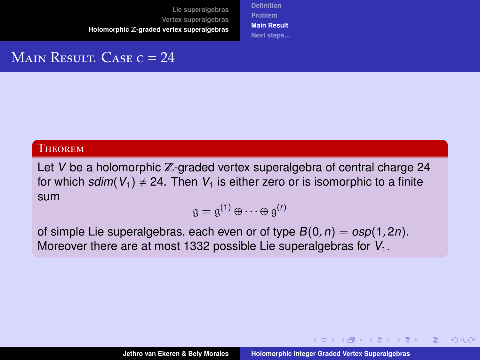**[Definition](#page-19-0) [Problem](#page-21-0) [Main Result](#page-24-0) [Next steps...](#page-31-0)**

# <span id="page-24-0"></span>MAIN RESULT. CASE  $c = 24$

#### **THEOREM**

Let V be a holomorphic  $\mathbb{Z}$ -graded vertex superalgebra of central charge 24 for which sdim( $V_1$ )  $\neq$  24. Then  $V_1$  is either zero or is isomorphic to a finite sum

$$
\mathfrak{g} = \mathfrak{g}^{(1)} \oplus \cdots \oplus \mathfrak{g}^{(r)}
$$

of simple Lie superalgebras, each even or of type  $B(0, n) = \log(1, 2n)$ . Moreover there are at most 1332 possible Lie superalgebras for  $V_1$ .

∢ ロ ▶ ( 何 ) ( ミ ) ( ミ ) ( ニ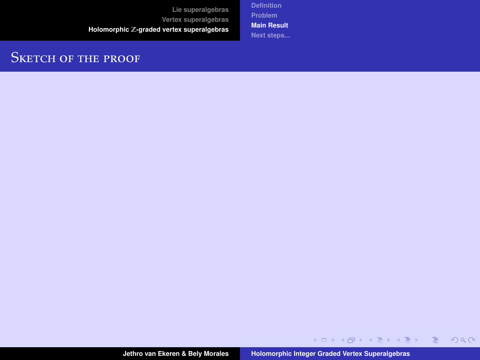**[Definition](#page-19-0) [Problem](#page-21-0) [Main Result](#page-24-0) [Next steps...](#page-31-0)**

## SKETCH OF THE PROOF

**Jethro van Ekeren & Bely Morales [Holomorphic Integer Graded Vertex Superalgebras](#page-0-0)**

K ロ X K 個 X X 差 X X 差 X …差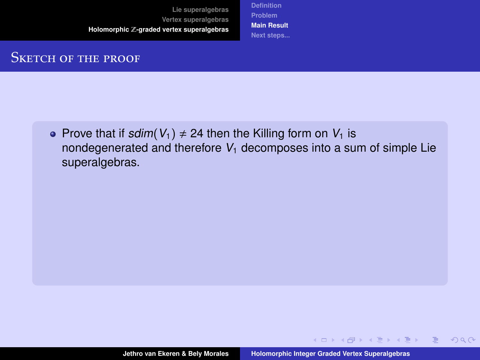**[Definition](#page-19-0) [Problem](#page-21-0) [Main Result](#page-24-0) [Next steps...](#page-31-0)**

## SKETCH OF THE PROOF

• Prove that if sdim( $V_1$ )  $\neq$  24 then the Killing form on  $V_1$  is nondegenerated and therefore  $V_1$  decomposes into a sum of simple Lie superalgebras.

**≮ロト ⊀何ト ⊀ ヨト ⊀ ヨト** …

 $QQ$ 

目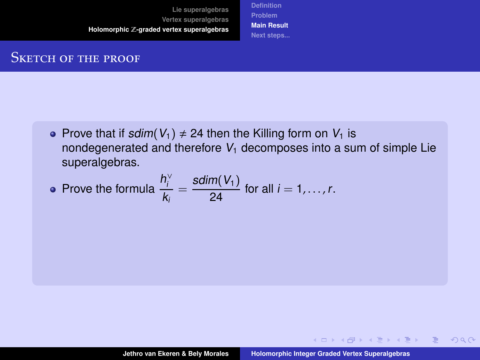**[Definition](#page-19-0) [Problem](#page-21-0) [Main Result](#page-24-0) [Next steps...](#page-31-0)**

## SKETCH OF THE PROOF

• Prove that if sdim( $V_1$ )  $\neq$  24 then the Killing form on  $V_1$  is nondegenerated and therefore  $V_1$  decomposes into a sum of simple Lie superalgebras.

• Prove the formula 
$$
\frac{h_i^{\vee}}{k_i} = \frac{\text{sdim}(V_1)}{24}
$$
 for all  $i = 1, ..., r$ .

**≮ロト ⊀何ト ⊀ ヨト ⊀ ヨト** …

 $QQQ$ 

目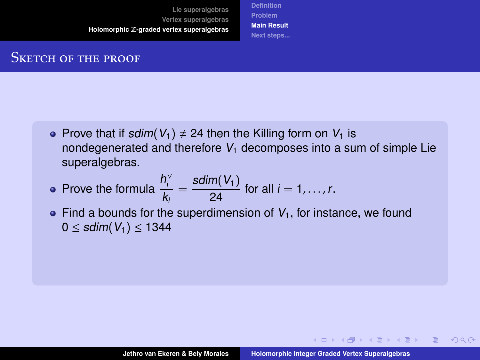**[Definition](#page-19-0) [Problem](#page-21-0) [Main Result](#page-24-0) [Next steps...](#page-31-0)**

### SKETCH OF THE PROOF

- Prove that if sdim( $V_1$ )  $\neq$  24 then the Killing form on  $V_1$  is nondegenerated and therefore  $V_1$  decomposes into a sum of simple Lie superalgebras.
- Prove the formula  $\frac{h_i^{\vee}}{h_i^{\vee}}$  $\frac{h_i^{\vee}}{k_i} = \frac{\text{sdim}(V_1)}{24}$  for all  $i = 1, ..., r$ .
- $\bullet$  Find a bounds for the superdimension of  $V_1$ , for instance, we found  $0 ≤$  sdim( $V_1$ )  $≤$  1344

**≮ロト ⊀何ト ⊀ ヨト ⊀ ヨト** …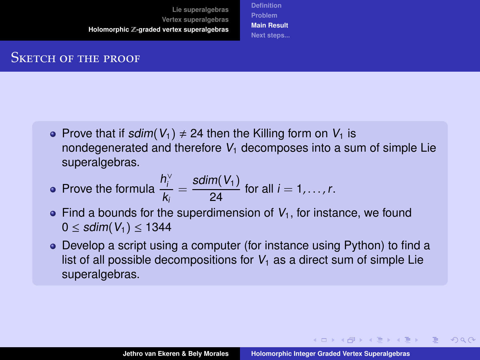**[Definition](#page-19-0) [Problem](#page-21-0) [Main Result](#page-24-0) [Next steps...](#page-31-0)**

### SKETCH OF THE PROOF

- Prove that if sdim( $V_1$ )  $\neq$  24 then the Killing form on  $V_1$  is nondegenerated and therefore  $V_1$  decomposes into a sum of simple Lie superalgebras.
- Prove the formula  $\frac{h_i^{\vee}}{h_i^{\vee}}$  $\frac{h_i^{\vee}}{k_i} = \frac{\text{sdim}(V_1)}{24}$  for all  $i = 1, ..., r$ .
- $\bullet$  Find a bounds for the superdimension of  $V_1$ , for instance, we found  $0 ≤$  sdim( $V_1$ )  $≤$  1344
- Develop a script using a computer (for instance using Python) to find a list of all possible decompositions for  $V_1$  as a direct sum of simple Lie superalgebras.

**≮ロト ⊀何ト ⊀ ヨト ⊀ ヨト** …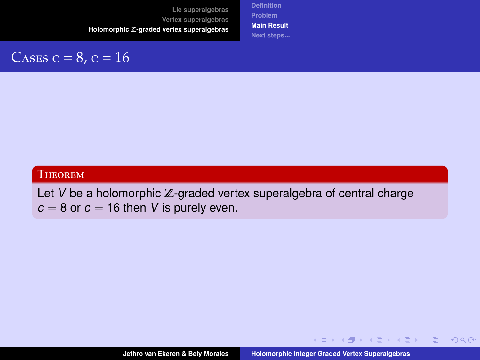**[Definition](#page-19-0) [Problem](#page-21-0) [Main Result](#page-24-0) [Next steps...](#page-31-0)**

# CASES  $c = 8$ ,  $c = 16$

### **THEOREM**

Let  $V$  be a holomorphic  $\mathbb{Z}$ -graded vertex superalgebra of central charge  $c = 8$  or  $c = 16$  then V is purely even.

イロト イ押 トイヨ トイヨ トー

 $\equiv$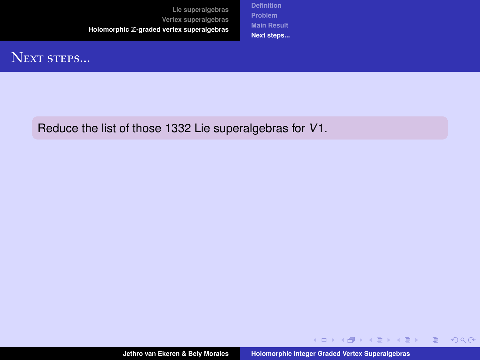**[Definition](#page-19-0) [Problem](#page-21-0) [Main Result](#page-24-0) [Next steps...](#page-34-0)**

# <span id="page-31-0"></span>NEXT STEPS...

Reduce the list of those 1332 Lie superalgebras for V1.

イロン イ団ン イミン イモン

 $\equiv$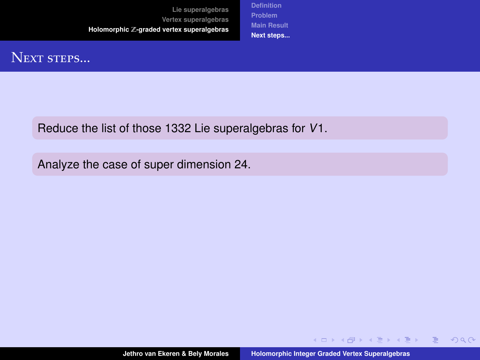**[Definition](#page-19-0) [Problem](#page-21-0) [Main Result](#page-24-0) [Next steps...](#page-34-0)**

# NEXT STEPS...

Reduce the list of those 1332 Lie superalgebras for V1.

Analyze the case of super dimension 24.

 $\equiv$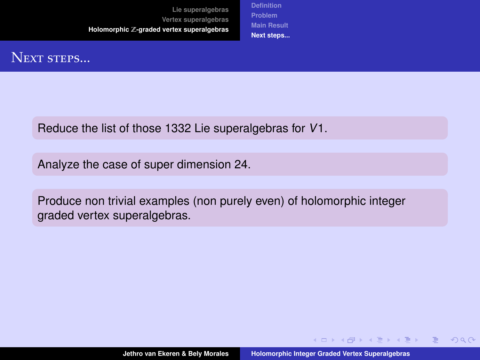**[Definition](#page-19-0) [Problem](#page-21-0) [Main Result](#page-24-0) [Next steps...](#page-34-0)**

# NEXT STEPS...

Reduce the list of those 1332 Lie superalgebras for V1.

Analyze the case of super dimension 24.

Produce non trivial examples (non purely even) of holomorphic integer graded vertex superalgebras.

**←ロ ▶ ←何 ▶ ← ヨ ▶ ← ヨ ▶** 

 $QQ$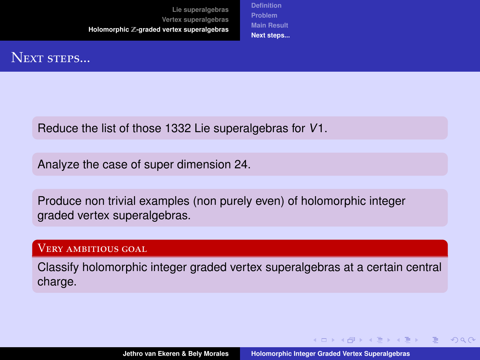**[Definition](#page-19-0) [Problem](#page-21-0) [Main Result](#page-24-0) [Next steps...](#page-31-0)**

## <span id="page-34-0"></span>NEXT STEPS...

Reduce the list of those 1332 Lie superalgebras for V1.

Analyze the case of super dimension 24.

Produce non trivial examples (non purely even) of holomorphic integer graded vertex superalgebras.

#### Very ambitious goal

Classify holomorphic integer graded vertex superalgebras at a certain central charge.

**≮ロト (何) (日) (日)**